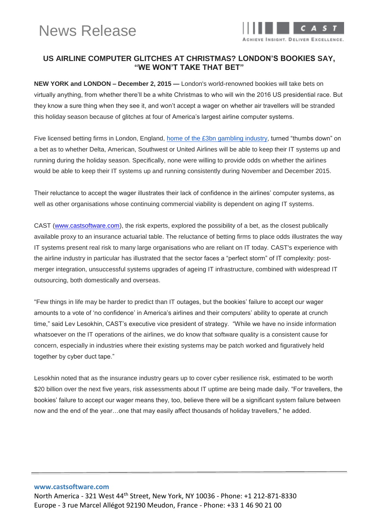

## **US AIRLINE COMPUTER GLITCHES AT CHRISTMAS? LONDON'S BOOKIES SAY, "WE WON'T TAKE THAT BET"**

**NEW YORK and LONDON – December 2, 2015 —** London's world-renowned bookies will take bets on virtually anything, from whether there'll be a white Christmas to who will win the 2016 US presidential race. But they know a sure thing when they see it, and won't accept a wager on whether air travellers will be stranded this holiday season because of glitches at four of America's largest airline computer systems.

Five licensed betting firms in London, England, [home of the £3bn gambling industry,](http://www.rightcasino.com/news/uk-gambling-industry-growth/) turned "thumbs down" on a bet as to whether Delta, American, Southwest or United Airlines will be able to keep their IT systems up and running during the holiday season. Specifically, none were willing to provide odds on whether the airlines would be able to keep their IT systems up and running consistently during November and December 2015.

Their reluctance to accept the wager illustrates their lack of confidence in the airlines' computer systems, as well as other organisations whose continuing commercial viability is dependent on aging IT systems.

CAST [\(www.castsoftware.com\)](http://www.castsoftware.com/), the risk experts, explored the possibility of a bet, as the closest publically available proxy to an insurance actuarial table. The reluctance of betting firms to place odds illustrates the way IT systems present real risk to many large organisations who are reliant on IT today. CAST's experience with the airline industry in particular has illustrated that the sector faces a "perfect storm" of IT complexity: postmerger integration, unsuccessful systems upgrades of ageing IT infrastructure, combined with widespread IT outsourcing, both domestically and overseas.

"Few things in life may be harder to predict than IT outages, but the bookies' failure to accept our wager amounts to a vote of 'no confidence' in America's airlines and their computers' ability to operate at crunch time," said Lev Lesokhin, CAST's executive vice president of strategy. "While we have no inside information whatsoever on the IT operations of the airlines, we do know that software quality is a consistent cause for concern, especially in industries where their existing systems may be patch worked and figuratively held together by cyber duct tape."

Lesokhin noted that as the insurance industry gears up to cover cyber resilience risk, estimated to be worth \$20 billion over the next five years, risk assessments about IT uptime are being made daily. "For travellers, the bookies' failure to accept our wager means they, too, believe there will be a significant system failure between now and the end of the year…one that may easily affect thousands of holiday travellers," he added.

#### **www.castsoftware.com**